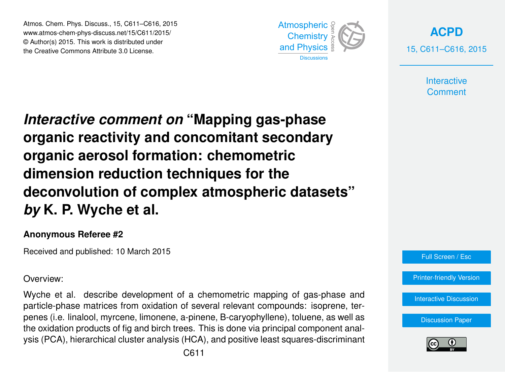Atmos. Chem. Phys. Discuss., 15, C611–C616, 2015 www.atmos-chem-phys-discuss.net/15/C611/2015/ © Author(s) 2015. This work is distributed under the Creative Commons Attribute 3.0 License.



**[ACPD](http://www.atmos-chem-phys-discuss.net)** 15, C611–C616, 2015

> **Interactive Comment**

*Interactive comment on* **"Mapping gas-phase organic reactivity and concomitant secondary organic aerosol formation: chemometric dimension reduction techniques for the deconvolution of complex atmospheric datasets"** *by* **K. P. Wyche et al.**

## **Anonymous Referee #2**

Received and published: 10 March 2015

Overview:

Wyche et al. describe development of a chemometric mapping of gas-phase and particle-phase matrices from oxidation of several relevant compounds: isoprene, terpenes (i.e. linalool, myrcene, limonene, a-pinene, B-caryophyllene), toluene, as well as the oxidation products of fig and birch trees. This is done via principal component analysis (PCA), hierarchical cluster analysis (HCA), and positive least squares-discriminant



[Printer-friendly Version](http://www.atmos-chem-phys-discuss.net/15/C611/2015/acpd-15-C611-2015-print.pdf)

[Interactive Discussion](http://www.atmos-chem-phys-discuss.net/15/1651/2015/acpd-15-1651-2015-discussion.html)

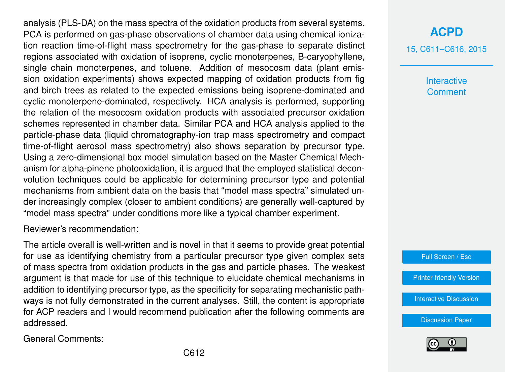analysis (PLS-DA) on the mass spectra of the oxidation products from several systems. PCA is performed on gas-phase observations of chamber data using chemical ionization reaction time-of-flight mass spectrometry for the gas-phase to separate distinct regions associated with oxidation of isoprene, cyclic monoterpenes, B-caryophyllene, single chain monoterpenes, and toluene. Addition of mesocosm data (plant emission oxidation experiments) shows expected mapping of oxidation products from fig and birch trees as related to the expected emissions being isoprene-dominated and cyclic monoterpene-dominated, respectively. HCA analysis is performed, supporting the relation of the mesocosm oxidation products with associated precursor oxidation schemes represented in chamber data. Similar PCA and HCA analysis applied to the particle-phase data (liquid chromatography-ion trap mass spectrometry and compact time-of-flight aerosol mass spectrometry) also shows separation by precursor type. Using a zero-dimensional box model simulation based on the Master Chemical Mechanism for alpha-pinene photooxidation, it is argued that the employed statistical deconvolution techniques could be applicable for determining precursor type and potential mechanisms from ambient data on the basis that "model mass spectra" simulated under increasingly complex (closer to ambient conditions) are generally well-captured by "model mass spectra" under conditions more like a typical chamber experiment.

Reviewer's recommendation:

The article overall is well-written and is novel in that it seems to provide great potential for use as identifying chemistry from a particular precursor type given complex sets of mass spectra from oxidation products in the gas and particle phases. The weakest argument is that made for use of this technique to elucidate chemical mechanisms in addition to identifying precursor type, as the specificity for separating mechanistic pathways is not fully demonstrated in the current analyses. Still, the content is appropriate for ACP readers and I would recommend publication after the following comments are addressed.

General Comments:

## **[ACPD](http://www.atmos-chem-phys-discuss.net)**

15, C611–C616, 2015

**Interactive Comment** 

Full Screen / Esc

[Printer-friendly Version](http://www.atmos-chem-phys-discuss.net/15/C611/2015/acpd-15-C611-2015-print.pdf)

[Interactive Discussion](http://www.atmos-chem-phys-discuss.net/15/1651/2015/acpd-15-1651-2015-discussion.html)

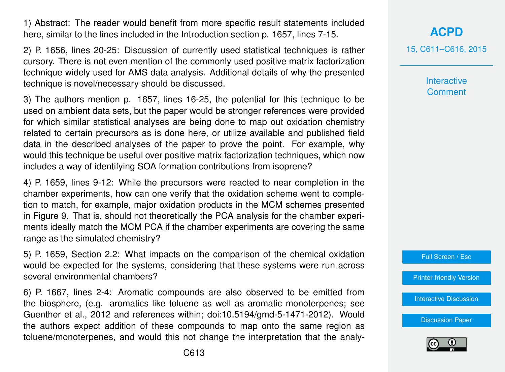1) Abstract: The reader would benefit from more specific result statements included here, similar to the lines included in the Introduction section p. 1657, lines 7-15.

2) P. 1656, lines 20-25: Discussion of currently used statistical techniques is rather cursory. There is not even mention of the commonly used positive matrix factorization technique widely used for AMS data analysis. Additional details of why the presented technique is novel/necessary should be discussed.

3) The authors mention p. 1657, lines 16-25, the potential for this technique to be used on ambient data sets, but the paper would be stronger references were provided for which similar statistical analyses are being done to map out oxidation chemistry related to certain precursors as is done here, or utilize available and published field data in the described analyses of the paper to prove the point. For example, why would this technique be useful over positive matrix factorization techniques, which now includes a way of identifying SOA formation contributions from isoprene?

4) P. 1659, lines 9-12: While the precursors were reacted to near completion in the chamber experiments, how can one verify that the oxidation scheme went to completion to match, for example, major oxidation products in the MCM schemes presented in Figure 9. That is, should not theoretically the PCA analysis for the chamber experiments ideally match the MCM PCA if the chamber experiments are covering the same range as the simulated chemistry?

5) P. 1659, Section 2.2: What impacts on the comparison of the chemical oxidation would be expected for the systems, considering that these systems were run across several environmental chambers?

6) P. 1667, lines 2-4: Aromatic compounds are also observed to be emitted from the biosphere, (e.g. aromatics like toluene as well as aromatic monoterpenes; see Guenther et al., 2012 and references within; doi:10.5194/gmd-5-1471-2012). Would the authors expect addition of these compounds to map onto the same region as toluene/monoterpenes, and would this not change the interpretation that the analy**[ACPD](http://www.atmos-chem-phys-discuss.net)**

15, C611–C616, 2015

**Interactive Comment** 

Full Screen / Esc

[Printer-friendly Version](http://www.atmos-chem-phys-discuss.net/15/C611/2015/acpd-15-C611-2015-print.pdf)

[Interactive Discussion](http://www.atmos-chem-phys-discuss.net/15/1651/2015/acpd-15-1651-2015-discussion.html)

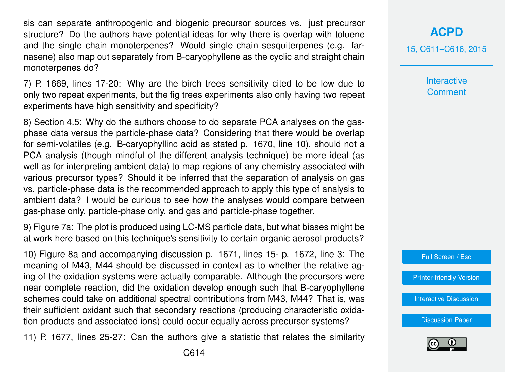sis can separate anthropogenic and biogenic precursor sources vs. iust precursor structure? Do the authors have potential ideas for why there is overlap with toluene and the single chain monoterpenes? Would single chain sesquiterpenes (e.g. farnasene) also map out separately from B-caryophyllene as the cyclic and straight chain monoterpenes do?

7) P. 1669, lines 17-20: Why are the birch trees sensitivity cited to be low due to only two repeat experiments, but the fig trees experiments also only having two repeat experiments have high sensitivity and specificity?

8) Section 4.5: Why do the authors choose to do separate PCA analyses on the gasphase data versus the particle-phase data? Considering that there would be overlap for semi-volatiles (e.g. B-caryophyllinc acid as stated p. 1670, line 10), should not a PCA analysis (though mindful of the different analysis technique) be more ideal (as well as for interpreting ambient data) to map regions of any chemistry associated with various precursor types? Should it be inferred that the separation of analysis on gas vs. particle-phase data is the recommended approach to apply this type of analysis to ambient data? I would be curious to see how the analyses would compare between gas-phase only, particle-phase only, and gas and particle-phase together.

9) Figure 7a: The plot is produced using LC-MS particle data, but what biases might be at work here based on this technique's sensitivity to certain organic aerosol products?

10) Figure 8a and accompanying discussion p. 1671, lines 15- p. 1672, line 3: The meaning of M43, M44 should be discussed in context as to whether the relative aging of the oxidation systems were actually comparable. Although the precursors were near complete reaction, did the oxidation develop enough such that B-caryophyllene schemes could take on additional spectral contributions from M43, M44? That is, was their sufficient oxidant such that secondary reactions (producing characteristic oxidation products and associated ions) could occur equally across precursor systems?

11) P. 1677, lines 25-27: Can the authors give a statistic that relates the similarity

**Interactive Comment** 



[Printer-friendly Version](http://www.atmos-chem-phys-discuss.net/15/C611/2015/acpd-15-C611-2015-print.pdf)

[Interactive Discussion](http://www.atmos-chem-phys-discuss.net/15/1651/2015/acpd-15-1651-2015-discussion.html)

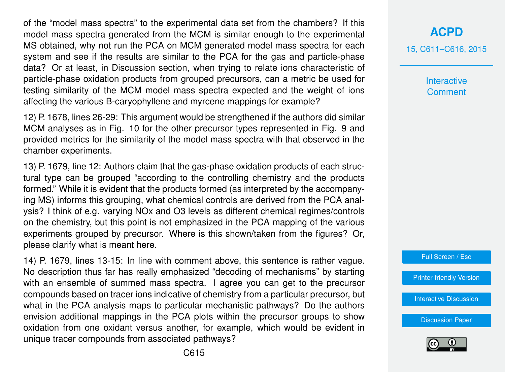of the "model mass spectra" to the experimental data set from the chambers? If this model mass spectra generated from the MCM is similar enough to the experimental MS obtained, why not run the PCA on MCM generated model mass spectra for each system and see if the results are similar to the PCA for the gas and particle-phase data? Or at least, in Discussion section, when trying to relate ions characteristic of particle-phase oxidation products from grouped precursors, can a metric be used for testing similarity of the MCM model mass spectra expected and the weight of ions affecting the various B-caryophyllene and myrcene mappings for example?

12) P. 1678, lines 26-29: This argument would be strengthened if the authors did similar MCM analyses as in Fig. 10 for the other precursor types represented in Fig. 9 and provided metrics for the similarity of the model mass spectra with that observed in the chamber experiments.

13) P. 1679, line 12: Authors claim that the gas-phase oxidation products of each structural type can be grouped "according to the controlling chemistry and the products formed." While it is evident that the products formed (as interpreted by the accompanying MS) informs this grouping, what chemical controls are derived from the PCA analysis? I think of e.g. varying NOx and O3 levels as different chemical regimes/controls on the chemistry, but this point is not emphasized in the PCA mapping of the various experiments grouped by precursor. Where is this shown/taken from the figures? Or, please clarify what is meant here.

14) P. 1679, lines 13-15: In line with comment above, this sentence is rather vague. No description thus far has really emphasized "decoding of mechanisms" by starting with an ensemble of summed mass spectra. I agree you can get to the precursor compounds based on tracer ions indicative of chemistry from a particular precursor, but what in the PCA analysis maps to particular mechanistic pathways? Do the authors envision additional mappings in the PCA plots within the precursor groups to show oxidation from one oxidant versus another, for example, which would be evident in unique tracer compounds from associated pathways?

## **[ACPD](http://www.atmos-chem-phys-discuss.net)**

15, C611–C616, 2015

**Interactive Comment** 



[Printer-friendly Version](http://www.atmos-chem-phys-discuss.net/15/C611/2015/acpd-15-C611-2015-print.pdf)

[Interactive Discussion](http://www.atmos-chem-phys-discuss.net/15/1651/2015/acpd-15-1651-2015-discussion.html)